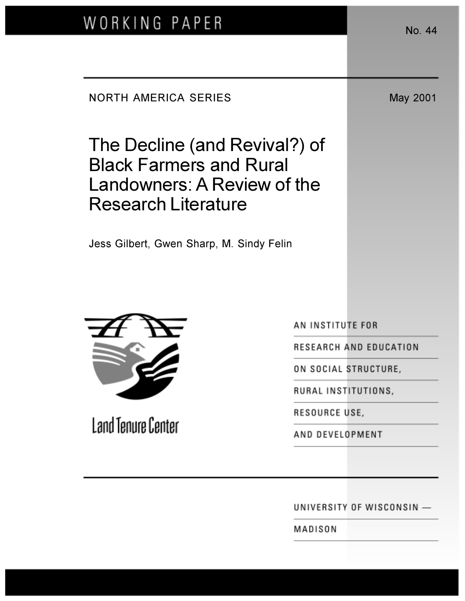| WORKING PAPER                                                                                                                | No. 44                    |
|------------------------------------------------------------------------------------------------------------------------------|---------------------------|
|                                                                                                                              |                           |
| <b>NORTH AMERICA SERIES</b>                                                                                                  | May 2001                  |
| The Decline (and Revival?) of<br><b>Black Farmers and Rural</b><br>Landowners: A Review of the<br><b>Research Literature</b> |                           |
| Jess Gilbert, Gwen Sharp, M. Sindy Felin                                                                                     |                           |
|                                                                                                                              | AN INSTITUTE FOR          |
| Land Tenure Center                                                                                                           | RESEARCH AND EDUCATION    |
|                                                                                                                              | ON SOCIAL STRUCTURE,      |
|                                                                                                                              | RURAL INSTITUTIONS,       |
|                                                                                                                              | RESOURCE USE,             |
|                                                                                                                              | AND DEVELOPMENT           |
|                                                                                                                              | UNIVERSITY OF WISCONSIN - |
|                                                                                                                              | MADISON                   |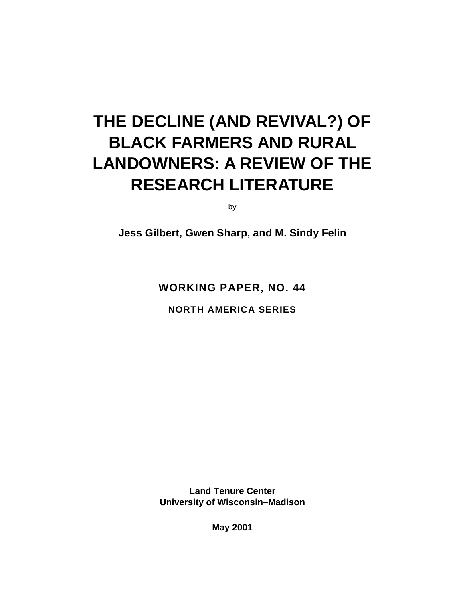# **THE DECLINE (AND REVIVAL?) OF BLACK FARMERS AND RURAL LANDOWNERS: A REVIEW OF THE RESEARCH LITERATURE**

by

**Jess Gilbert, Gwen Sharp, and M. Sindy Felin**

**WORKING PAPER, NO. 44**

**NORTH AMERICA SERIES**

**Land Tenure Center University of Wisconsin–Madison**

**May 2001**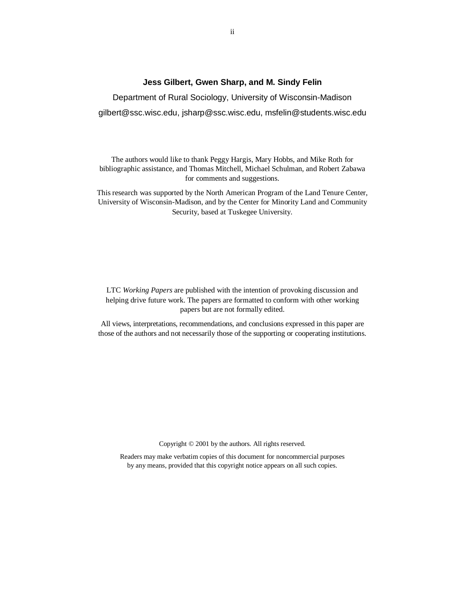#### **Jess Gilbert, Gwen Sharp, and M. Sindy Felin**

Department of Rural Sociology, University of Wisconsin-Madison gilbert@ssc.wisc.edu, jsharp@ssc.wisc.edu, msfelin@students.wisc.edu

The authors would like to thank Peggy Hargis, Mary Hobbs, and Mike Roth for bibliographic assistance, and Thomas Mitchell, Michael Schulman, and Robert Zabawa for comments and suggestions.

This research was supported by the North American Program of the Land Tenure Center, University of Wisconsin-Madison, and by the Center for Minority Land and Community Security, based at Tuskegee University.

LTC *Working Papers* are published with the intention of provoking discussion and helping drive future work. The papers are formatted to conform with other working papers but are not formally edited.

All views, interpretations, recommendations, and conclusions expressed in this paper are those of the authors and not necessarily those of the supporting or cooperating institutions.

Copyright © 2001 by the authors. All rights reserved.

Readers may make verbatim copies of this document for noncommercial purposes by any means, provided that this copyright notice appears on all such copies.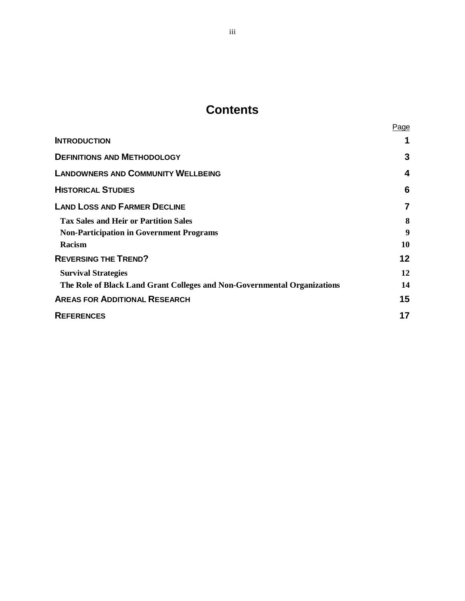# **Contents**

|                                                                          | <b>Page</b> |
|--------------------------------------------------------------------------|-------------|
| <b>INTRODUCTION</b>                                                      |             |
| <b>DEFINITIONS AND METHODOLOGY</b>                                       | 3           |
| <b>LANDOWNERS AND COMMUNITY WELLBEING</b>                                | 4           |
| <b>HISTORICAL STUDIES</b>                                                | 6           |
| <b>LAND LOSS AND FARMER DECLINE</b>                                      | 7           |
| <b>Tax Sales and Heir or Partition Sales</b>                             | 8           |
| <b>Non-Participation in Government Programs</b>                          | 9           |
| Racism                                                                   | 10          |
| <b>REVERSING THE TREND?</b>                                              | 12          |
| <b>Survival Strategies</b>                                               | 12          |
| The Role of Black Land Grant Colleges and Non-Governmental Organizations | 14          |
| <b>AREAS FOR ADDITIONAL RESEARCH</b>                                     | 15          |
| <b>REFERENCES</b>                                                        | 17          |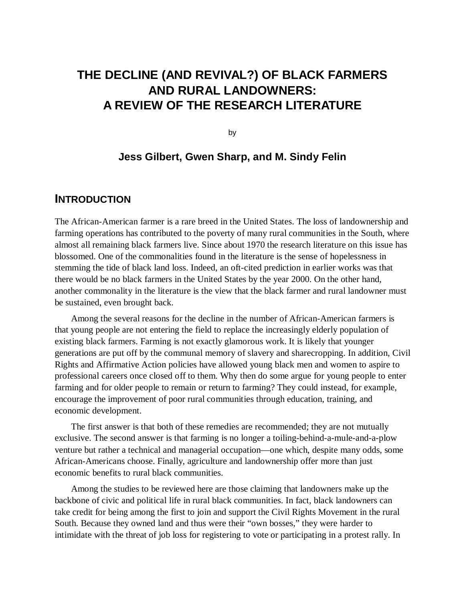# **THE DECLINE (AND REVIVAL?) OF BLACK FARMERS AND RURAL LANDOWNERS: A REVIEW OF THE RESEARCH LITERATURE**

by

### **Jess Gilbert, Gwen Sharp, and M. Sindy Felin**

### **INTRODUCTION**

The African-American farmer is a rare breed in the United States. The loss of landownership and farming operations has contributed to the poverty of many rural communities in the South, where almost all remaining black farmers live. Since about 1970 the research literature on this issue has blossomed. One of the commonalities found in the literature is the sense of hopelessness in stemming the tide of black land loss. Indeed, an oft-cited prediction in earlier works was that there would be no black farmers in the United States by the year 2000. On the other hand, another commonality in the literature is the view that the black farmer and rural landowner must be sustained, even brought back.

Among the several reasons for the decline in the number of African-American farmers is that young people are not entering the field to replace the increasingly elderly population of existing black farmers. Farming is not exactly glamorous work. It is likely that younger generations are put off by the communal memory of slavery and sharecropping. In addition, Civil Rights and Affirmative Action policies have allowed young black men and women to aspire to professional careers once closed off to them. Why then do some argue for young people to enter farming and for older people to remain or return to farming? They could instead, for example, encourage the improvement of poor rural communities through education, training, and economic development.

The first answer is that both of these remedies are recommended; they are not mutually exclusive. The second answer is that farming is no longer a toiling-behind-a-mule-and-a-plow venture but rather a technical and managerial occupation—one which, despite many odds, some African-Americans choose. Finally, agriculture and landownership offer more than just economic benefits to rural black communities.

Among the studies to be reviewed here are those claiming that landowners make up the backbone of civic and political life in rural black communities. In fact, black landowners can take credit for being among the first to join and support the Civil Rights Movement in the rural South. Because they owned land and thus were their "own bosses," they were harder to intimidate with the threat of job loss for registering to vote or participating in a protest rally. In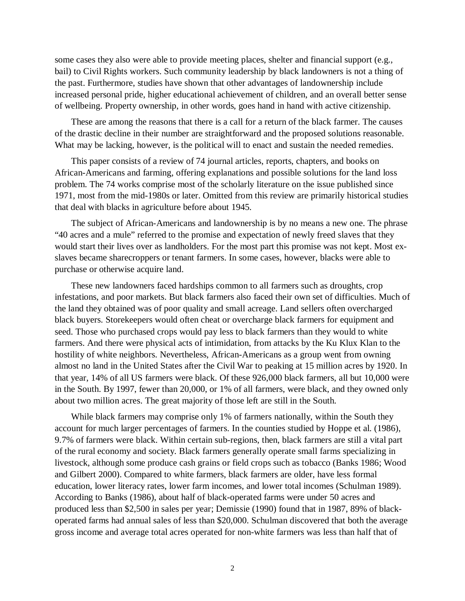some cases they also were able to provide meeting places, shelter and financial support (e.g., bail) to Civil Rights workers. Such community leadership by black landowners is not a thing of the past. Furthermore, studies have shown that other advantages of landownership include increased personal pride, higher educational achievement of children, and an overall better sense of wellbeing. Property ownership, in other words, goes hand in hand with active citizenship.

These are among the reasons that there is a call for a return of the black farmer. The causes of the drastic decline in their number are straightforward and the proposed solutions reasonable. What may be lacking, however, is the political will to enact and sustain the needed remedies.

This paper consists of a review of 74 journal articles, reports, chapters, and books on African-Americans and farming, offering explanations and possible solutions for the land loss problem. The 74 works comprise most of the scholarly literature on the issue published since 1971, most from the mid-1980s or later. Omitted from this review are primarily historical studies that deal with blacks in agriculture before about 1945.

The subject of African-Americans and landownership is by no means a new one. The phrase "40 acres and a mule" referred to the promise and expectation of newly freed slaves that they would start their lives over as landholders. For the most part this promise was not kept. Most exslaves became sharecroppers or tenant farmers. In some cases, however, blacks were able to purchase or otherwise acquire land.

These new landowners faced hardships common to all farmers such as droughts, crop infestations, and poor markets. But black farmers also faced their own set of difficulties. Much of the land they obtained was of poor quality and small acreage. Land sellers often overcharged black buyers. Storekeepers would often cheat or overcharge black farmers for equipment and seed. Those who purchased crops would pay less to black farmers than they would to white farmers. And there were physical acts of intimidation, from attacks by the Ku Klux Klan to the hostility of white neighbors. Nevertheless, African-Americans as a group went from owning almost no land in the United States after the Civil War to peaking at 15 million acres by 1920. In that year, 14% of all US farmers were black. Of these 926,000 black farmers, all but 10,000 were in the South. By 1997, fewer than 20,000, or 1% of all farmers, were black, and they owned only about two million acres. The great majority of those left are still in the South.

While black farmers may comprise only 1% of farmers nationally, within the South they account for much larger percentages of farmers. In the counties studied by Hoppe et al. (1986), 9.7% of farmers were black. Within certain sub-regions, then, black farmers are still a vital part of the rural economy and society. Black farmers generally operate small farms specializing in livestock, although some produce cash grains or field crops such as tobacco (Banks 1986; Wood and Gilbert 2000). Compared to white farmers, black farmers are older, have less formal education, lower literacy rates, lower farm incomes, and lower total incomes (Schulman 1989). According to Banks (1986), about half of black-operated farms were under 50 acres and produced less than \$2,500 in sales per year; Demissie (1990) found that in 1987, 89% of blackoperated farms had annual sales of less than \$20,000. Schulman discovered that both the average gross income and average total acres operated for non-white farmers was less than half that of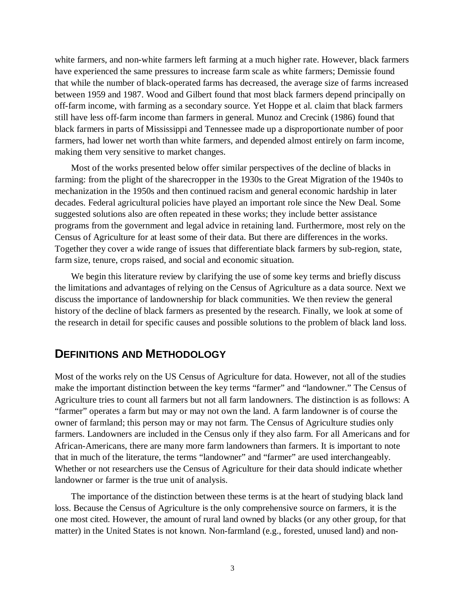white farmers, and non-white farmers left farming at a much higher rate. However, black farmers have experienced the same pressures to increase farm scale as white farmers; Demissie found that while the number of black-operated farms has decreased, the average size of farms increased between 1959 and 1987. Wood and Gilbert found that most black farmers depend principally on off-farm income, with farming as a secondary source. Yet Hoppe et al. claim that black farmers still have less off-farm income than farmers in general. Munoz and Crecink (1986) found that black farmers in parts of Mississippi and Tennessee made up a disproportionate number of poor farmers, had lower net worth than white farmers, and depended almost entirely on farm income, making them very sensitive to market changes.

Most of the works presented below offer similar perspectives of the decline of blacks in farming: from the plight of the sharecropper in the 1930s to the Great Migration of the 1940s to mechanization in the 1950s and then continued racism and general economic hardship in later decades. Federal agricultural policies have played an important role since the New Deal. Some suggested solutions also are often repeated in these works; they include better assistance programs from the government and legal advice in retaining land. Furthermore, most rely on the Census of Agriculture for at least some of their data. But there are differences in the works. Together they cover a wide range of issues that differentiate black farmers by sub-region, state, farm size, tenure, crops raised, and social and economic situation.

We begin this literature review by clarifying the use of some key terms and briefly discuss the limitations and advantages of relying on the Census of Agriculture as a data source. Next we discuss the importance of landownership for black communities. We then review the general history of the decline of black farmers as presented by the research. Finally, we look at some of the research in detail for specific causes and possible solutions to the problem of black land loss.

## **DEFINITIONS AND METHODOLOGY**

Most of the works rely on the US Census of Agriculture for data. However, not all of the studies make the important distinction between the key terms "farmer" and "landowner." The Census of Agriculture tries to count all farmers but not all farm landowners. The distinction is as follows: A "farmer" operates a farm but may or may not own the land. A farm landowner is of course the owner of farmland; this person may or may not farm. The Census of Agriculture studies only farmers. Landowners are included in the Census only if they also farm. For all Americans and for African-Americans, there are many more farm landowners than farmers. It is important to note that in much of the literature, the terms "landowner" and "farmer" are used interchangeably. Whether or not researchers use the Census of Agriculture for their data should indicate whether landowner or farmer is the true unit of analysis.

The importance of the distinction between these terms is at the heart of studying black land loss. Because the Census of Agriculture is the only comprehensive source on farmers, it is the one most cited. However, the amount of rural land owned by blacks (or any other group, for that matter) in the United States is not known. Non-farmland (e.g., forested, unused land) and non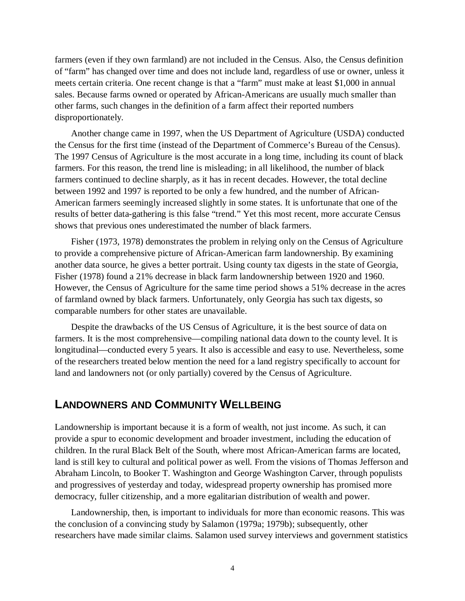farmers (even if they own farmland) are not included in the Census. Also, the Census definition of "farm" has changed over time and does not include land, regardless of use or owner, unless it meets certain criteria. One recent change is that a "farm" must make at least \$1,000 in annual sales. Because farms owned or operated by African-Americans are usually much smaller than other farms, such changes in the definition of a farm affect their reported numbers disproportionately.

Another change came in 1997, when the US Department of Agriculture (USDA) conducted the Census for the first time (instead of the Department of Commerce's Bureau of the Census). The 1997 Census of Agriculture is the most accurate in a long time, including its count of black farmers. For this reason, the trend line is misleading; in all likelihood, the number of black farmers continued to decline sharply, as it has in recent decades. However, the total decline between 1992 and 1997 is reported to be only a few hundred, and the number of African-American farmers seemingly increased slightly in some states. It is unfortunate that one of the results of better data-gathering is this false "trend." Yet this most recent, more accurate Census shows that previous ones underestimated the number of black farmers.

Fisher (1973, 1978) demonstrates the problem in relying only on the Census of Agriculture to provide a comprehensive picture of African-American farm landownership. By examining another data source, he gives a better portrait. Using county tax digests in the state of Georgia, Fisher (1978) found a 21% decrease in black farm landownership between 1920 and 1960. However, the Census of Agriculture for the same time period shows a 51% decrease in the acres of farmland owned by black farmers. Unfortunately, only Georgia has such tax digests, so comparable numbers for other states are unavailable.

Despite the drawbacks of the US Census of Agriculture, it is the best source of data on farmers. It is the most comprehensive—compiling national data down to the county level. It is longitudinal—conducted every 5 years. It also is accessible and easy to use. Nevertheless, some of the researchers treated below mention the need for a land registry specifically to account for land and landowners not (or only partially) covered by the Census of Agriculture.

### **LANDOWNERS AND COMMUNITY WELLBEING**

Landownership is important because it is a form of wealth, not just income. As such, it can provide a spur to economic development and broader investment, including the education of children. In the rural Black Belt of the South, where most African-American farms are located, land is still key to cultural and political power as well. From the visions of Thomas Jefferson and Abraham Lincoln, to Booker T. Washington and George Washington Carver, through populists and progressives of yesterday and today, widespread property ownership has promised more democracy, fuller citizenship, and a more egalitarian distribution of wealth and power.

Landownership, then, is important to individuals for more than economic reasons. This was the conclusion of a convincing study by Salamon (1979a; 1979b); subsequently, other researchers have made similar claims. Salamon used survey interviews and government statistics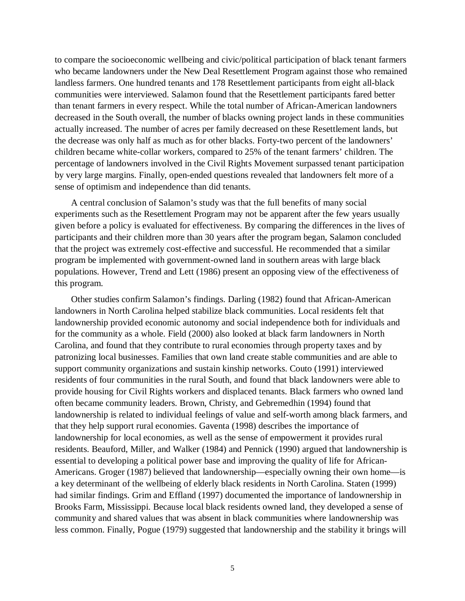to compare the socioeconomic wellbeing and civic/political participation of black tenant farmers who became landowners under the New Deal Resettlement Program against those who remained landless farmers. One hundred tenants and 178 Resettlement participants from eight all-black communities were interviewed. Salamon found that the Resettlement participants fared better than tenant farmers in every respect. While the total number of African-American landowners decreased in the South overall, the number of blacks owning project lands in these communities actually increased. The number of acres per family decreased on these Resettlement lands, but the decrease was only half as much as for other blacks. Forty-two percent of the landowners' children became white-collar workers, compared to 25% of the tenant farmers' children. The percentage of landowners involved in the Civil Rights Movement surpassed tenant participation by very large margins. Finally, open-ended questions revealed that landowners felt more of a sense of optimism and independence than did tenants.

A central conclusion of Salamon's study was that the full benefits of many social experiments such as the Resettlement Program may not be apparent after the few years usually given before a policy is evaluated for effectiveness. By comparing the differences in the lives of participants and their children more than 30 years after the program began, Salamon concluded that the project was extremely cost-effective and successful. He recommended that a similar program be implemented with government-owned land in southern areas with large black populations. However, Trend and Lett (1986) present an opposing view of the effectiveness of this program.

Other studies confirm Salamon's findings. Darling (1982) found that African-American landowners in North Carolina helped stabilize black communities. Local residents felt that landownership provided economic autonomy and social independence both for individuals and for the community as a whole. Field (2000) also looked at black farm landowners in North Carolina, and found that they contribute to rural economies through property taxes and by patronizing local businesses. Families that own land create stable communities and are able to support community organizations and sustain kinship networks. Couto (1991) interviewed residents of four communities in the rural South, and found that black landowners were able to provide housing for Civil Rights workers and displaced tenants. Black farmers who owned land often became community leaders. Brown, Christy, and Gebremedhin (1994) found that landownership is related to individual feelings of value and self-worth among black farmers, and that they help support rural economies. Gaventa (1998) describes the importance of landownership for local economies, as well as the sense of empowerment it provides rural residents. Beauford, Miller, and Walker (1984) and Pennick (1990) argued that landownership is essential to developing a political power base and improving the quality of life for African-Americans. Groger (1987) believed that landownership—especially owning their own home—is a key determinant of the wellbeing of elderly black residents in North Carolina. Staten (1999) had similar findings. Grim and Effland (1997) documented the importance of landownership in Brooks Farm, Mississippi. Because local black residents owned land, they developed a sense of community and shared values that was absent in black communities where landownership was less common. Finally, Pogue (1979) suggested that landownership and the stability it brings will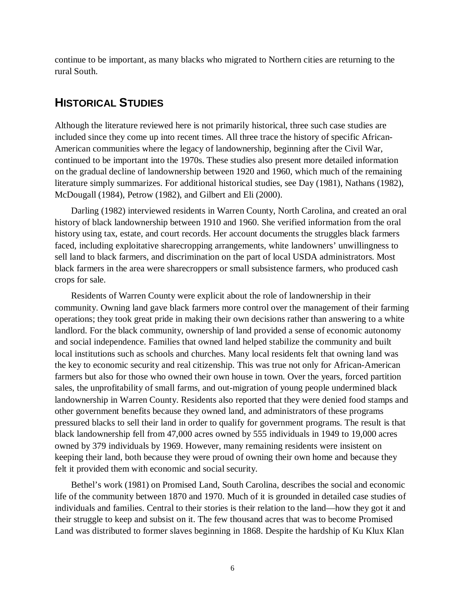continue to be important, as many blacks who migrated to Northern cities are returning to the rural South.

# **HISTORICAL STUDIES**

Although the literature reviewed here is not primarily historical, three such case studies are included since they come up into recent times. All three trace the history of specific African-American communities where the legacy of landownership, beginning after the Civil War, continued to be important into the 1970s. These studies also present more detailed information on the gradual decline of landownership between 1920 and 1960, which much of the remaining literature simply summarizes. For additional historical studies, see Day (1981), Nathans (1982), McDougall (1984), Petrow (1982), and Gilbert and Eli (2000).

Darling (1982) interviewed residents in Warren County, North Carolina, and created an oral history of black landownership between 1910 and 1960. She verified information from the oral history using tax, estate, and court records. Her account documents the struggles black farmers faced, including exploitative sharecropping arrangements, white landowners' unwillingness to sell land to black farmers, and discrimination on the part of local USDA administrators. Most black farmers in the area were sharecroppers or small subsistence farmers, who produced cash crops for sale.

Residents of Warren County were explicit about the role of landownership in their community. Owning land gave black farmers more control over the management of their farming operations; they took great pride in making their own decisions rather than answering to a white landlord. For the black community, ownership of land provided a sense of economic autonomy and social independence. Families that owned land helped stabilize the community and built local institutions such as schools and churches. Many local residents felt that owning land was the key to economic security and real citizenship. This was true not only for African-American farmers but also for those who owned their own house in town. Over the years, forced partition sales, the unprofitability of small farms, and out-migration of young people undermined black landownership in Warren County. Residents also reported that they were denied food stamps and other government benefits because they owned land, and administrators of these programs pressured blacks to sell their land in order to qualify for government programs. The result is that black landownership fell from 47,000 acres owned by 555 individuals in 1949 to 19,000 acres owned by 379 individuals by 1969. However, many remaining residents were insistent on keeping their land, both because they were proud of owning their own home and because they felt it provided them with economic and social security.

Bethel's work (1981) on Promised Land, South Carolina, describes the social and economic life of the community between 1870 and 1970. Much of it is grounded in detailed case studies of individuals and families. Central to their stories is their relation to the land—how they got it and their struggle to keep and subsist on it. The few thousand acres that was to become Promised Land was distributed to former slaves beginning in 1868. Despite the hardship of Ku Klux Klan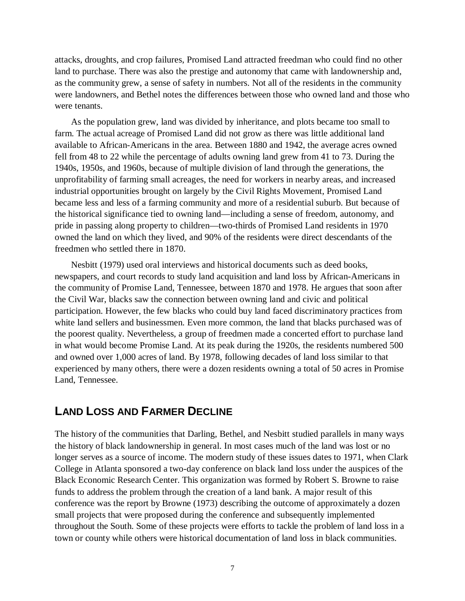attacks, droughts, and crop failures, Promised Land attracted freedman who could find no other land to purchase. There was also the prestige and autonomy that came with landownership and, as the community grew, a sense of safety in numbers. Not all of the residents in the community were landowners, and Bethel notes the differences between those who owned land and those who were tenants.

As the population grew, land was divided by inheritance, and plots became too small to farm. The actual acreage of Promised Land did not grow as there was little additional land available to African-Americans in the area. Between 1880 and 1942, the average acres owned fell from 48 to 22 while the percentage of adults owning land grew from 41 to 73. During the 1940s, 1950s, and 1960s, because of multiple division of land through the generations, the unprofitability of farming small acreages, the need for workers in nearby areas, and increased industrial opportunities brought on largely by the Civil Rights Movement, Promised Land became less and less of a farming community and more of a residential suburb. But because of the historical significance tied to owning land—including a sense of freedom, autonomy, and pride in passing along property to children—two-thirds of Promised Land residents in 1970 owned the land on which they lived, and 90% of the residents were direct descendants of the freedmen who settled there in 1870.

Nesbitt (1979) used oral interviews and historical documents such as deed books, newspapers, and court records to study land acquisition and land loss by African-Americans in the community of Promise Land, Tennessee, between 1870 and 1978. He argues that soon after the Civil War, blacks saw the connection between owning land and civic and political participation. However, the few blacks who could buy land faced discriminatory practices from white land sellers and businessmen. Even more common, the land that blacks purchased was of the poorest quality. Nevertheless, a group of freedmen made a concerted effort to purchase land in what would become Promise Land. At its peak during the 1920s, the residents numbered 500 and owned over 1,000 acres of land. By 1978, following decades of land loss similar to that experienced by many others, there were a dozen residents owning a total of 50 acres in Promise Land, Tennessee.

# **LAND LOSS AND FARMER DECLINE**

The history of the communities that Darling, Bethel, and Nesbitt studied parallels in many ways the history of black landownership in general. In most cases much of the land was lost or no longer serves as a source of income. The modern study of these issues dates to 1971, when Clark College in Atlanta sponsored a two-day conference on black land loss under the auspices of the Black Economic Research Center. This organization was formed by Robert S. Browne to raise funds to address the problem through the creation of a land bank. A major result of this conference was the report by Browne (1973) describing the outcome of approximately a dozen small projects that were proposed during the conference and subsequently implemented throughout the South. Some of these projects were efforts to tackle the problem of land loss in a town or county while others were historical documentation of land loss in black communities.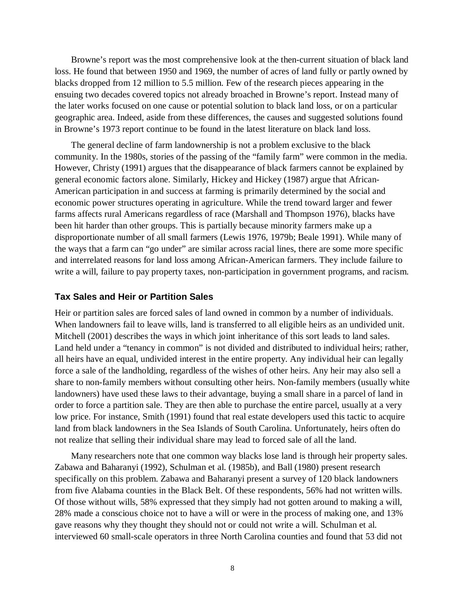Browne's report was the most comprehensive look at the then-current situation of black land loss. He found that between 1950 and 1969, the number of acres of land fully or partly owned by blacks dropped from 12 million to 5.5 million. Few of the research pieces appearing in the ensuing two decades covered topics not already broached in Browne's report. Instead many of the later works focused on one cause or potential solution to black land loss, or on a particular geographic area. Indeed, aside from these differences, the causes and suggested solutions found in Browne's 1973 report continue to be found in the latest literature on black land loss.

The general decline of farm landownership is not a problem exclusive to the black community. In the 1980s, stories of the passing of the "family farm" were common in the media. However, Christy (1991) argues that the disappearance of black farmers cannot be explained by general economic factors alone. Similarly, Hickey and Hickey (1987) argue that African-American participation in and success at farming is primarily determined by the social and economic power structures operating in agriculture. While the trend toward larger and fewer farms affects rural Americans regardless of race (Marshall and Thompson 1976), blacks have been hit harder than other groups. This is partially because minority farmers make up a disproportionate number of all small farmers (Lewis 1976, 1979b; Beale 1991). While many of the ways that a farm can "go under" are similar across racial lines, there are some more specific and interrelated reasons for land loss among African-American farmers. They include failure to write a will, failure to pay property taxes, non-participation in government programs, and racism.

#### **Tax Sales and Heir or Partition Sales**

Heir or partition sales are forced sales of land owned in common by a number of individuals. When landowners fail to leave wills, land is transferred to all eligible heirs as an undivided unit. Mitchell (2001) describes the ways in which joint inheritance of this sort leads to land sales. Land held under a "tenancy in common" is not divided and distributed to individual heirs; rather, all heirs have an equal, undivided interest in the entire property. Any individual heir can legally force a sale of the landholding, regardless of the wishes of other heirs. Any heir may also sell a share to non-family members without consulting other heirs. Non-family members (usually white landowners) have used these laws to their advantage, buying a small share in a parcel of land in order to force a partition sale. They are then able to purchase the entire parcel, usually at a very low price. For instance, Smith (1991) found that real estate developers used this tactic to acquire land from black landowners in the Sea Islands of South Carolina. Unfortunately, heirs often do not realize that selling their individual share may lead to forced sale of all the land.

Many researchers note that one common way blacks lose land is through heir property sales. Zabawa and Baharanyi (1992), Schulman et al. (1985b), and Ball (1980) present research specifically on this problem. Zabawa and Baharanyi present a survey of 120 black landowners from five Alabama counties in the Black Belt. Of these respondents, 56% had not written wills. Of those without wills, 58% expressed that they simply had not gotten around to making a will, 28% made a conscious choice not to have a will or were in the process of making one, and 13% gave reasons why they thought they should not or could not write a will. Schulman et al. interviewed 60 small-scale operators in three North Carolina counties and found that 53 did not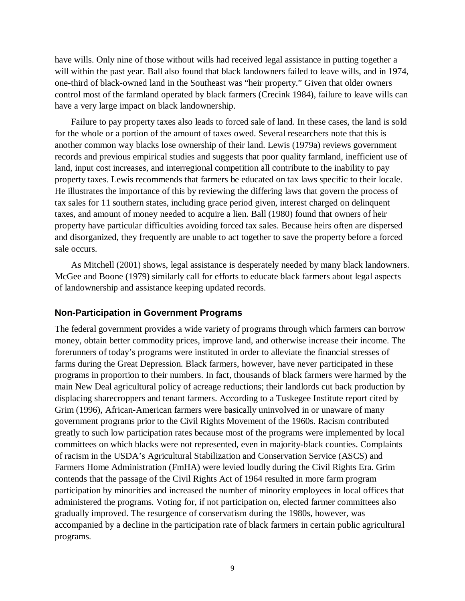have wills. Only nine of those without wills had received legal assistance in putting together a will within the past year. Ball also found that black landowners failed to leave wills, and in 1974, one-third of black-owned land in the Southeast was "heir property." Given that older owners control most of the farmland operated by black farmers (Crecink 1984), failure to leave wills can have a very large impact on black landownership.

Failure to pay property taxes also leads to forced sale of land. In these cases, the land is sold for the whole or a portion of the amount of taxes owed. Several researchers note that this is another common way blacks lose ownership of their land. Lewis (1979a) reviews government records and previous empirical studies and suggests that poor quality farmland, inefficient use of land, input cost increases, and interregional competition all contribute to the inability to pay property taxes. Lewis recommends that farmers be educated on tax laws specific to their locale. He illustrates the importance of this by reviewing the differing laws that govern the process of tax sales for 11 southern states, including grace period given, interest charged on delinquent taxes, and amount of money needed to acquire a lien. Ball (1980) found that owners of heir property have particular difficulties avoiding forced tax sales. Because heirs often are dispersed and disorganized, they frequently are unable to act together to save the property before a forced sale occurs.

As Mitchell (2001) shows, legal assistance is desperately needed by many black landowners. McGee and Boone (1979) similarly call for efforts to educate black farmers about legal aspects of landownership and assistance keeping updated records.

#### **Non-Participation in Government Programs**

The federal government provides a wide variety of programs through which farmers can borrow money, obtain better commodity prices, improve land, and otherwise increase their income. The forerunners of today's programs were instituted in order to alleviate the financial stresses of farms during the Great Depression. Black farmers, however, have never participated in these programs in proportion to their numbers. In fact, thousands of black farmers were harmed by the main New Deal agricultural policy of acreage reductions; their landlords cut back production by displacing sharecroppers and tenant farmers. According to a Tuskegee Institute report cited by Grim (1996), African-American farmers were basically uninvolved in or unaware of many government programs prior to the Civil Rights Movement of the 1960s. Racism contributed greatly to such low participation rates because most of the programs were implemented by local committees on which blacks were not represented, even in majority-black counties. Complaints of racism in the USDA's Agricultural Stabilization and Conservation Service (ASCS) and Farmers Home Administration (FmHA) were levied loudly during the Civil Rights Era. Grim contends that the passage of the Civil Rights Act of 1964 resulted in more farm program participation by minorities and increased the number of minority employees in local offices that administered the programs. Voting for, if not participation on, elected farmer committees also gradually improved. The resurgence of conservatism during the 1980s, however, was accompanied by a decline in the participation rate of black farmers in certain public agricultural programs.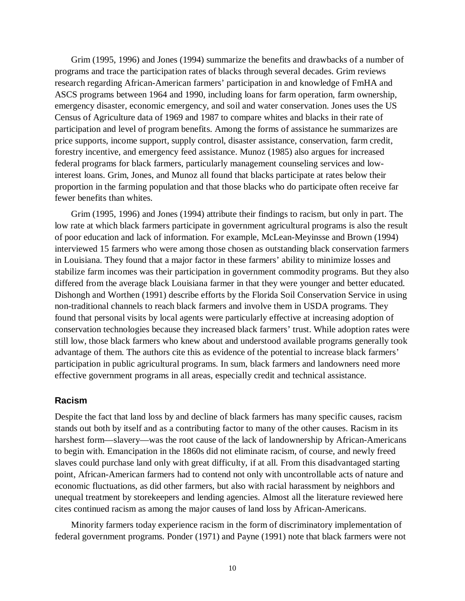Grim (1995, 1996) and Jones (1994) summarize the benefits and drawbacks of a number of programs and trace the participation rates of blacks through several decades. Grim reviews research regarding African-American farmers' participation in and knowledge of FmHA and ASCS programs between 1964 and 1990, including loans for farm operation, farm ownership, emergency disaster, economic emergency, and soil and water conservation. Jones uses the US Census of Agriculture data of 1969 and 1987 to compare whites and blacks in their rate of participation and level of program benefits. Among the forms of assistance he summarizes are price supports, income support, supply control, disaster assistance, conservation, farm credit, forestry incentive, and emergency feed assistance. Munoz (1985) also argues for increased federal programs for black farmers, particularly management counseling services and lowinterest loans. Grim, Jones, and Munoz all found that blacks participate at rates below their proportion in the farming population and that those blacks who do participate often receive far fewer benefits than whites.

Grim (1995, 1996) and Jones (1994) attribute their findings to racism, but only in part. The low rate at which black farmers participate in government agricultural programs is also the result of poor education and lack of information. For example, McLean-Meyinsse and Brown (1994) interviewed 15 farmers who were among those chosen as outstanding black conservation farmers in Louisiana. They found that a major factor in these farmers' ability to minimize losses and stabilize farm incomes was their participation in government commodity programs. But they also differed from the average black Louisiana farmer in that they were younger and better educated. Dishongh and Worthen (1991) describe efforts by the Florida Soil Conservation Service in using non-traditional channels to reach black farmers and involve them in USDA programs. They found that personal visits by local agents were particularly effective at increasing adoption of conservation technologies because they increased black farmers' trust. While adoption rates were still low, those black farmers who knew about and understood available programs generally took advantage of them. The authors cite this as evidence of the potential to increase black farmers' participation in public agricultural programs. In sum, black farmers and landowners need more effective government programs in all areas, especially credit and technical assistance.

#### **Racism**

Despite the fact that land loss by and decline of black farmers has many specific causes, racism stands out both by itself and as a contributing factor to many of the other causes. Racism in its harshest form—slavery—was the root cause of the lack of landownership by African-Americans to begin with. Emancipation in the 1860s did not eliminate racism, of course, and newly freed slaves could purchase land only with great difficulty, if at all. From this disadvantaged starting point, African-American farmers had to contend not only with uncontrollable acts of nature and economic fluctuations, as did other farmers, but also with racial harassment by neighbors and unequal treatment by storekeepers and lending agencies. Almost all the literature reviewed here cites continued racism as among the major causes of land loss by African-Americans.

Minority farmers today experience racism in the form of discriminatory implementation of federal government programs. Ponder (1971) and Payne (1991) note that black farmers were not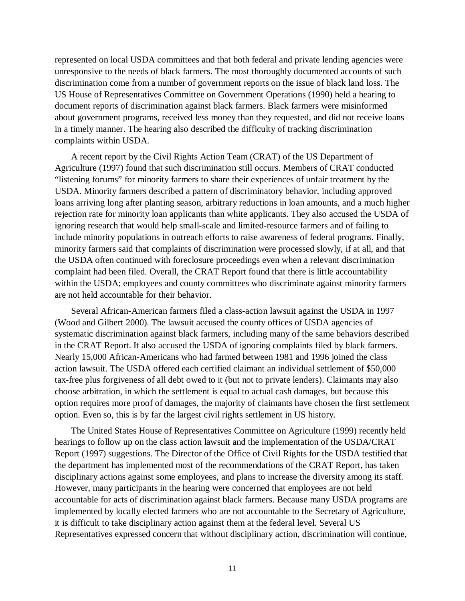represented on local USDA committees and that both federal and private lending agencies were unresponsive to the needs of black farmers. The most thoroughly documented accounts of such discrimination come from a number of government reports on the issue of black land loss. The US House of Representatives Committee on Government Operations (1990) held a hearing to document reports of discrimination against black farmers. Black farmers were misinformed about government programs, received less money than they requested, and did not receive loans in a timely manner. The hearing also described the difficulty of tracking discrimination complaints within USDA.

A recent report by the Civil Rights Action Team (CRAT) of the US Department of Agriculture (1997) found that such discrimination still occurs. Members of CRAT conducted "listening forums" for minority farmers to share their experiences of unfair treatment by the USDA. Minority farmers described a pattern of discriminatory behavior, including approved loans arriving long after planting season, arbitrary reductions in loan amounts, and a much higher rejection rate for minority loan applicants than white applicants. They also accused the USDA of ignoring research that would help small-scale and limited-resource farmers and of failing to include minority populations in outreach efforts to raise awareness of federal programs. Finally, minority farmers said that complaints of discrimination were processed slowly, if at all, and that the USDA often continued with foreclosure proceedings even when a relevant discrimination complaint had been filed. Overall, the CRAT Report found that there is little accountability within the USDA; employees and county committees who discriminate against minority farmers are not held accountable for their behavior.

Several African-American farmers filed a class-action lawsuit against the USDA in 1997 (Wood and Gilbert 2000). The lawsuit accused the county offices of USDA agencies of systematic discrimination against black farmers, including many of the same behaviors described in the CRAT Report. It also accused the USDA of ignoring complaints filed by black farmers. Nearly 15,000 African-Americans who had farmed between 1981 and 1996 joined the class action lawsuit. The USDA offered each certified claimant an individual settlement of \$50,000 tax-free plus forgiveness of all debt owed to it (but not to private lenders). Claimants may also choose arbitration, in which the settlement is equal to actual cash damages, but because this option requires more proof of damages, the majority of claimants have chosen the first settlement option. Even so, this is by far the largest civil rights settlement in US history.

The United States House of Representatives Committee on Agriculture (1999) recently held hearings to follow up on the class action lawsuit and the implementation of the USDA/CRAT Report (1997) suggestions. The Director of the Office of Civil Rights for the USDA testified that the department has implemented most of the recommendations of the CRAT Report, has taken disciplinary actions against some employees, and plans to increase the diversity among its staff. However, many participants in the hearing were concerned that employees are not held accountable for acts of discrimination against black farmers. Because many USDA programs are implemented by locally elected farmers who are not accountable to the Secretary of Agriculture, it is difficult to take disciplinary action against them at the federal level. Several US Representatives expressed concern that without disciplinary action, discrimination will continue,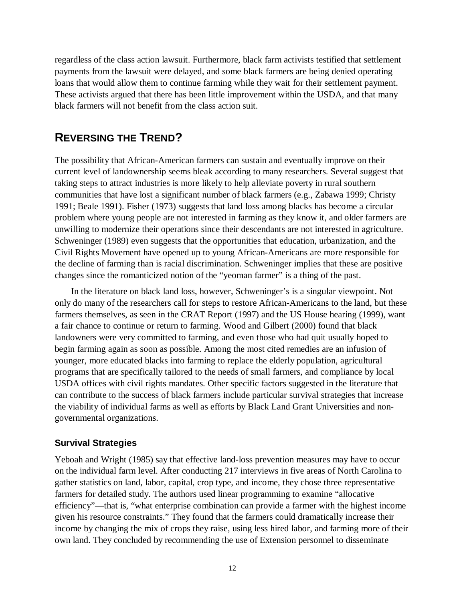regardless of the class action lawsuit. Furthermore, black farm activists testified that settlement payments from the lawsuit were delayed, and some black farmers are being denied operating loans that would allow them to continue farming while they wait for their settlement payment. These activists argued that there has been little improvement within the USDA, and that many black farmers will not benefit from the class action suit.

# **REVERSING THE TREND?**

The possibility that African-American farmers can sustain and eventually improve on their current level of landownership seems bleak according to many researchers. Several suggest that taking steps to attract industries is more likely to help alleviate poverty in rural southern communities that have lost a significant number of black farmers (e.g., Zabawa 1999; Christy 1991; Beale 1991). Fisher (1973) suggests that land loss among blacks has become a circular problem where young people are not interested in farming as they know it, and older farmers are unwilling to modernize their operations since their descendants are not interested in agriculture. Schweninger (1989) even suggests that the opportunities that education, urbanization, and the Civil Rights Movement have opened up to young African-Americans are more responsible for the decline of farming than is racial discrimination. Schweninger implies that these are positive changes since the romanticized notion of the "yeoman farmer" is a thing of the past.

In the literature on black land loss, however, Schweninger's is a singular viewpoint. Not only do many of the researchers call for steps to restore African-Americans to the land, but these farmers themselves, as seen in the CRAT Report (1997) and the US House hearing (1999), want a fair chance to continue or return to farming. Wood and Gilbert (2000) found that black landowners were very committed to farming, and even those who had quit usually hoped to begin farming again as soon as possible. Among the most cited remedies are an infusion of younger, more educated blacks into farming to replace the elderly population, agricultural programs that are specifically tailored to the needs of small farmers, and compliance by local USDA offices with civil rights mandates. Other specific factors suggested in the literature that can contribute to the success of black farmers include particular survival strategies that increase the viability of individual farms as well as efforts by Black Land Grant Universities and nongovernmental organizations.

### **Survival Strategies**

Yeboah and Wright (1985) say that effective land-loss prevention measures may have to occur on the individual farm level. After conducting 217 interviews in five areas of North Carolina to gather statistics on land, labor, capital, crop type, and income, they chose three representative farmers for detailed study. The authors used linear programming to examine "allocative efficiency"—that is, "what enterprise combination can provide a farmer with the highest income given his resource constraints." They found that the farmers could dramatically increase their income by changing the mix of crops they raise, using less hired labor, and farming more of their own land. They concluded by recommending the use of Extension personnel to disseminate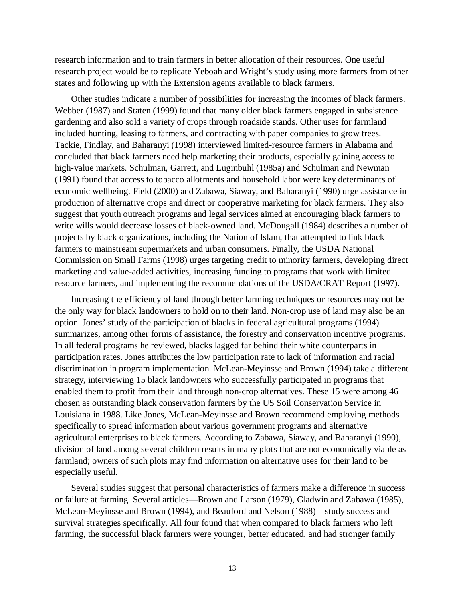research information and to train farmers in better allocation of their resources. One useful research project would be to replicate Yeboah and Wright's study using more farmers from other states and following up with the Extension agents available to black farmers.

Other studies indicate a number of possibilities for increasing the incomes of black farmers. Webber (1987) and Staten (1999) found that many older black farmers engaged in subsistence gardening and also sold a variety of crops through roadside stands. Other uses for farmland included hunting, leasing to farmers, and contracting with paper companies to grow trees. Tackie, Findlay, and Baharanyi (1998) interviewed limited-resource farmers in Alabama and concluded that black farmers need help marketing their products, especially gaining access to high-value markets. Schulman, Garrett, and Luginbuhl (1985a) and Schulman and Newman (1991) found that access to tobacco allotments and household labor were key determinants of economic wellbeing. Field (2000) and Zabawa, Siaway, and Baharanyi (1990) urge assistance in production of alternative crops and direct or cooperative marketing for black farmers. They also suggest that youth outreach programs and legal services aimed at encouraging black farmers to write wills would decrease losses of black-owned land. McDougall (1984) describes a number of projects by black organizations, including the Nation of Islam, that attempted to link black farmers to mainstream supermarkets and urban consumers. Finally, the USDA National Commission on Small Farms (1998) urges targeting credit to minority farmers, developing direct marketing and value-added activities, increasing funding to programs that work with limited resource farmers, and implementing the recommendations of the USDA/CRAT Report (1997).

Increasing the efficiency of land through better farming techniques or resources may not be the only way for black landowners to hold on to their land. Non-crop use of land may also be an option. Jones' study of the participation of blacks in federal agricultural programs (1994) summarizes, among other forms of assistance, the forestry and conservation incentive programs. In all federal programs he reviewed, blacks lagged far behind their white counterparts in participation rates. Jones attributes the low participation rate to lack of information and racial discrimination in program implementation. McLean-Meyinsse and Brown (1994) take a different strategy, interviewing 15 black landowners who successfully participated in programs that enabled them to profit from their land through non-crop alternatives. These 15 were among 46 chosen as outstanding black conservation farmers by the US Soil Conservation Service in Louisiana in 1988. Like Jones, McLean-Meyinsse and Brown recommend employing methods specifically to spread information about various government programs and alternative agricultural enterprises to black farmers. According to Zabawa, Siaway, and Baharanyi (1990), division of land among several children results in many plots that are not economically viable as farmland; owners of such plots may find information on alternative uses for their land to be especially useful.

Several studies suggest that personal characteristics of farmers make a difference in success or failure at farming. Several articles—Brown and Larson (1979), Gladwin and Zabawa (1985), McLean-Meyinsse and Brown (1994), and Beauford and Nelson (1988)—study success and survival strategies specifically. All four found that when compared to black farmers who left farming, the successful black farmers were younger, better educated, and had stronger family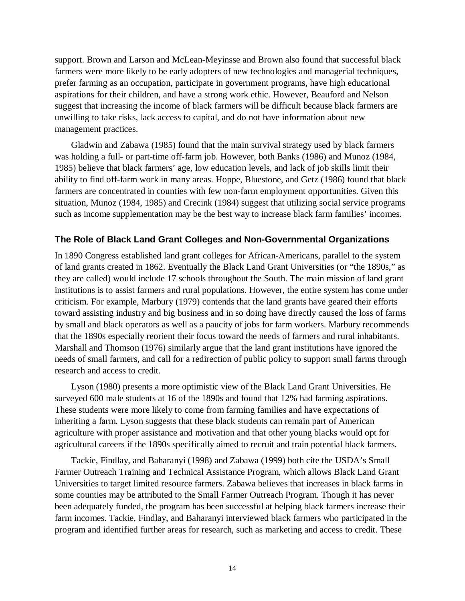support. Brown and Larson and McLean-Meyinsse and Brown also found that successful black farmers were more likely to be early adopters of new technologies and managerial techniques, prefer farming as an occupation, participate in government programs, have high educational aspirations for their children, and have a strong work ethic. However, Beauford and Nelson suggest that increasing the income of black farmers will be difficult because black farmers are unwilling to take risks, lack access to capital, and do not have information about new management practices.

Gladwin and Zabawa (1985) found that the main survival strategy used by black farmers was holding a full- or part-time off-farm job. However, both Banks (1986) and Munoz (1984, 1985) believe that black farmers' age, low education levels, and lack of job skills limit their ability to find off-farm work in many areas. Hoppe, Bluestone, and Getz (1986) found that black farmers are concentrated in counties with few non-farm employment opportunities. Given this situation, Munoz (1984, 1985) and Crecink (1984) suggest that utilizing social service programs such as income supplementation may be the best way to increase black farm families' incomes.

#### **The Role of Black Land Grant Colleges and Non-Governmental Organizations**

In 1890 Congress established land grant colleges for African-Americans, parallel to the system of land grants created in 1862. Eventually the Black Land Grant Universities (or "the 1890s," as they are called) would include 17 schools throughout the South. The main mission of land grant institutions is to assist farmers and rural populations. However, the entire system has come under criticism. For example, Marbury (1979) contends that the land grants have geared their efforts toward assisting industry and big business and in so doing have directly caused the loss of farms by small and black operators as well as a paucity of jobs for farm workers. Marbury recommends that the 1890s especially reorient their focus toward the needs of farmers and rural inhabitants. Marshall and Thomson (1976) similarly argue that the land grant institutions have ignored the needs of small farmers, and call for a redirection of public policy to support small farms through research and access to credit.

Lyson (1980) presents a more optimistic view of the Black Land Grant Universities. He surveyed 600 male students at 16 of the 1890s and found that 12% had farming aspirations. These students were more likely to come from farming families and have expectations of inheriting a farm. Lyson suggests that these black students can remain part of American agriculture with proper assistance and motivation and that other young blacks would opt for agricultural careers if the 1890s specifically aimed to recruit and train potential black farmers.

Tackie, Findlay, and Baharanyi (1998) and Zabawa (1999) both cite the USDA's Small Farmer Outreach Training and Technical Assistance Program, which allows Black Land Grant Universities to target limited resource farmers. Zabawa believes that increases in black farms in some counties may be attributed to the Small Farmer Outreach Program. Though it has never been adequately funded, the program has been successful at helping black farmers increase their farm incomes. Tackie, Findlay, and Baharanyi interviewed black farmers who participated in the program and identified further areas for research, such as marketing and access to credit. These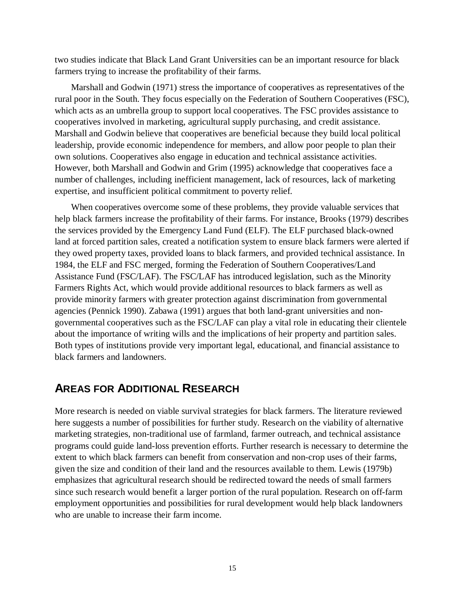two studies indicate that Black Land Grant Universities can be an important resource for black farmers trying to increase the profitability of their farms.

Marshall and Godwin (1971) stress the importance of cooperatives as representatives of the rural poor in the South. They focus especially on the Federation of Southern Cooperatives (FSC), which acts as an umbrella group to support local cooperatives. The FSC provides assistance to cooperatives involved in marketing, agricultural supply purchasing, and credit assistance. Marshall and Godwin believe that cooperatives are beneficial because they build local political leadership, provide economic independence for members, and allow poor people to plan their own solutions. Cooperatives also engage in education and technical assistance activities. However, both Marshall and Godwin and Grim (1995) acknowledge that cooperatives face a number of challenges, including inefficient management, lack of resources, lack of marketing expertise, and insufficient political commitment to poverty relief.

When cooperatives overcome some of these problems, they provide valuable services that help black farmers increase the profitability of their farms. For instance, Brooks (1979) describes the services provided by the Emergency Land Fund (ELF). The ELF purchased black-owned land at forced partition sales, created a notification system to ensure black farmers were alerted if they owed property taxes, provided loans to black farmers, and provided technical assistance. In 1984, the ELF and FSC merged, forming the Federation of Southern Cooperatives/Land Assistance Fund (FSC/LAF). The FSC/LAF has introduced legislation, such as the Minority Farmers Rights Act, which would provide additional resources to black farmers as well as provide minority farmers with greater protection against discrimination from governmental agencies (Pennick 1990). Zabawa (1991) argues that both land-grant universities and nongovernmental cooperatives such as the FSC/LAF can play a vital role in educating their clientele about the importance of writing wills and the implications of heir property and partition sales. Both types of institutions provide very important legal, educational, and financial assistance to black farmers and landowners.

# **AREAS FOR ADDITIONAL RESEARCH**

More research is needed on viable survival strategies for black farmers. The literature reviewed here suggests a number of possibilities for further study. Research on the viability of alternative marketing strategies, non-traditional use of farmland, farmer outreach, and technical assistance programs could guide land-loss prevention efforts. Further research is necessary to determine the extent to which black farmers can benefit from conservation and non-crop uses of their farms, given the size and condition of their land and the resources available to them. Lewis (1979b) emphasizes that agricultural research should be redirected toward the needs of small farmers since such research would benefit a larger portion of the rural population. Research on off-farm employment opportunities and possibilities for rural development would help black landowners who are unable to increase their farm income.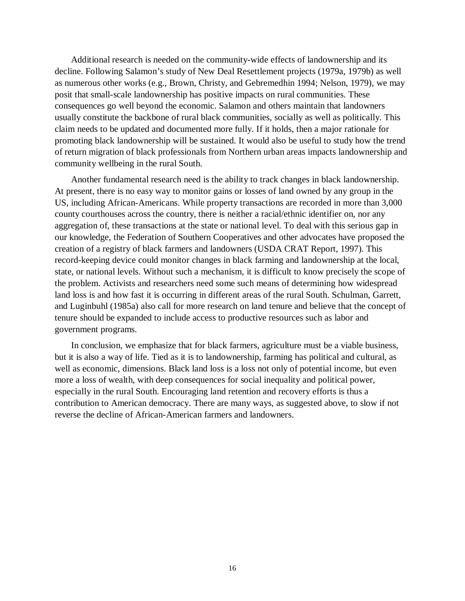Additional research is needed on the community-wide effects of landownership and its decline. Following Salamon's study of New Deal Resettlement projects (1979a, 1979b) as well as numerous other works (e.g., Brown, Christy, and Gebremedhin 1994; Nelson, 1979), we may posit that small-scale landownership has positive impacts on rural communities. These consequences go well beyond the economic. Salamon and others maintain that landowners usually constitute the backbone of rural black communities, socially as well as politically. This claim needs to be updated and documented more fully. If it holds, then a major rationale for promoting black landownership will be sustained. It would also be useful to study how the trend of return migration of black professionals from Northern urban areas impacts landownership and community wellbeing in the rural South.

Another fundamental research need is the ability to track changes in black landownership. At present, there is no easy way to monitor gains or losses of land owned by any group in the US, including African-Americans. While property transactions are recorded in more than 3,000 county courthouses across the country, there is neither a racial/ethnic identifier on, nor any aggregation of, these transactions at the state or national level. To deal with this serious gap in our knowledge, the Federation of Southern Cooperatives and other advocates have proposed the creation of a registry of black farmers and landowners (USDA CRAT Report, 1997). This record-keeping device could monitor changes in black farming and landownership at the local, state, or national levels. Without such a mechanism, it is difficult to know precisely the scope of the problem. Activists and researchers need some such means of determining how widespread land loss is and how fast it is occurring in different areas of the rural South. Schulman, Garrett, and Luginbuhl (1985a) also call for more research on land tenure and believe that the concept of tenure should be expanded to include access to productive resources such as labor and government programs.

In conclusion, we emphasize that for black farmers, agriculture must be a viable business, but it is also a way of life. Tied as it is to landownership, farming has political and cultural, as well as economic, dimensions. Black land loss is a loss not only of potential income, but even more a loss of wealth, with deep consequences for social inequality and political power, especially in the rural South. Encouraging land retention and recovery efforts is thus a contribution to American democracy. There are many ways, as suggested above, to slow if not reverse the decline of African-American farmers and landowners.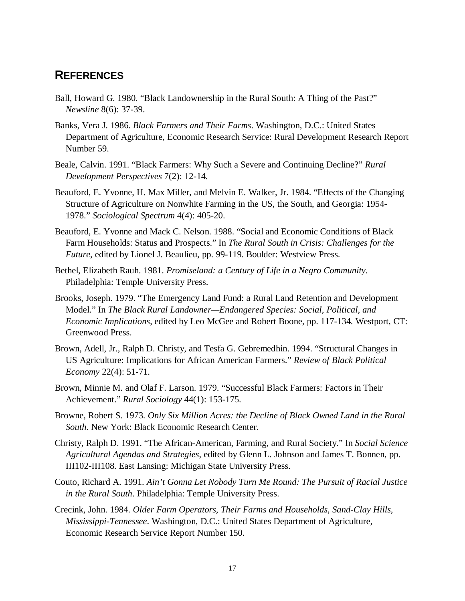# **REFERENCES**

- Ball, Howard G. 1980. "Black Landownership in the Rural South: A Thing of the Past?" *Newsline* 8(6): 37-39.
- Banks, Vera J. 1986. *Black Farmers and Their Farms*. Washington, D.C.: United States Department of Agriculture, Economic Research Service: Rural Development Research Report Number 59.
- Beale, Calvin. 1991. "Black Farmers: Why Such a Severe and Continuing Decline?" *Rural Development Perspectives* 7(2): 12-14.
- Beauford, E. Yvonne, H. Max Miller, and Melvin E. Walker, Jr. 1984. "Effects of the Changing Structure of Agriculture on Nonwhite Farming in the US, the South, and Georgia: 1954- 1978." *Sociological Spectrum* 4(4): 405-20.
- Beauford, E. Yvonne and Mack C. Nelson. 1988. "Social and Economic Conditions of Black Farm Households: Status and Prospects." In *The Rural South in Crisis: Challenges for the Future,* edited by Lionel J. Beaulieu, pp. 99-119. Boulder: Westview Press.
- Bethel, Elizabeth Rauh. 1981. *Promiseland: a Century of Life in a Negro Community*. Philadelphia: Temple University Press.
- Brooks, Joseph. 1979. "The Emergency Land Fund: a Rural Land Retention and Development Model." In *The Black Rural Landowner—Endangered Species: Social, Political, and Economic Implications*, edited by Leo McGee and Robert Boone, pp. 117-134. Westport, CT: Greenwood Press.
- Brown, Adell, Jr., Ralph D. Christy, and Tesfa G. Gebremedhin. 1994. "Structural Changes in US Agriculture: Implications for African American Farmers." *Review of Black Political Economy* 22(4): 51-71.
- Brown, Minnie M. and Olaf F. Larson. 1979. "Successful Black Farmers: Factors in Their Achievement." *Rural Sociology* 44(1): 153-175.
- Browne, Robert S. 1973. *Only Six Million Acres: the Decline of Black Owned Land in the Rural South*. New York: Black Economic Research Center.
- Christy, Ralph D. 1991. "The African-American, Farming, and Rural Society." In *Social Science Agricultural Agendas and Strategies*, edited by Glenn L. Johnson and James T. Bonnen, pp. III102-III108. East Lansing: Michigan State University Press.
- Couto, Richard A. 1991. *Ain't Gonna Let Nobody Turn Me Round: The Pursuit of Racial Justice in the Rural South*. Philadelphia: Temple University Press.
- Crecink, John. 1984. *Older Farm Operators, Their Farms and Households, Sand-Clay Hills, Mississippi-Tennessee*. Washington, D.C.: United States Department of Agriculture, Economic Research Service Report Number 150.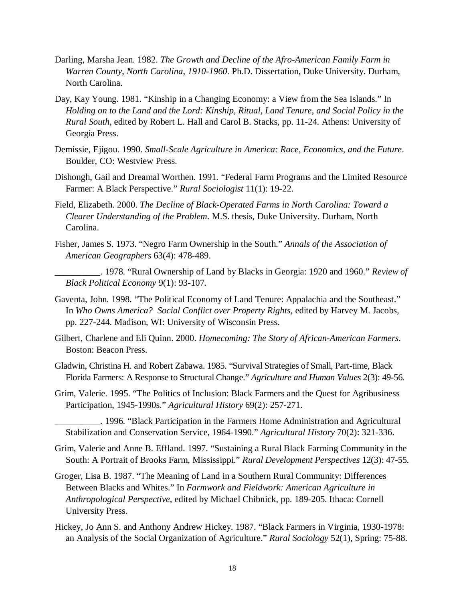- Darling, Marsha Jean. 1982. *The Growth and Decline of the Afro-American Family Farm in Warren County, North Carolina, 1910-1960*. Ph.D. Dissertation, Duke University. Durham, North Carolina.
- Day, Kay Young. 1981. "Kinship in a Changing Economy: a View from the Sea Islands." In *Holding on to the Land and the Lord: Kinship, Ritual, Land Tenure, and Social Policy in the Rural South*, edited by Robert L. Hall and Carol B. Stacks, pp. 11-24. Athens: University of Georgia Press.
- Demissie, Ejigou. 1990. *Small-Scale Agriculture in America: Race, Economics, and the Future*. Boulder, CO: Westview Press.
- Dishongh, Gail and Dreamal Worthen. 1991. "Federal Farm Programs and the Limited Resource Farmer: A Black Perspective." *Rural Sociologist* 11(1): 19-22.
- Field, Elizabeth. 2000. *The Decline of Black-Operated Farms in North Carolina: Toward a Clearer Understanding of the Problem*. M.S. thesis, Duke University. Durham, North Carolina.
- Fisher, James S. 1973. "Negro Farm Ownership in the South." *Annals of the Association of American Geographers* 63(4): 478-489.
- \_\_\_\_\_\_\_\_\_\_. 1978. "Rural Ownership of Land by Blacks in Georgia: 1920 and 1960." *Review of Black Political Economy* 9(1): 93-107.
- Gaventa, John. 1998. "The Political Economy of Land Tenure: Appalachia and the Southeast." In *Who Owns America? Social Conflict over Property Rights*, edited by Harvey M. Jacobs, pp. 227-244. Madison, WI: University of Wisconsin Press.
- Gilbert, Charlene and Eli Quinn. 2000. *Homecoming: The Story of African-American Farmers*. Boston: Beacon Press.
- Gladwin, Christina H. and Robert Zabawa. 1985. "Survival Strategies of Small, Part-time, Black Florida Farmers: A Response to Structural Change." *Agriculture and Human Values* 2(3): 49-56.
- Grim, Valerie. 1995. "The Politics of Inclusion: Black Farmers and the Quest for Agribusiness Participation, 1945-1990s." *Agricultural History* 69(2): 257-271.

\_\_\_\_\_\_\_\_\_\_. 1996. "Black Participation in the Farmers Home Administration and Agricultural Stabilization and Conservation Service, 1964-1990." *Agricultural History* 70(2): 321-336.

- Grim, Valerie and Anne B. Effland. 1997. "Sustaining a Rural Black Farming Community in the South: A Portrait of Brooks Farm, Mississippi." *Rural Development Perspectives* 12(3): 47-55.
- Groger, Lisa B. 1987. "The Meaning of Land in a Southern Rural Community: Differences Between Blacks and Whites." In *Farmwork and Fieldwork: American Agriculture in Anthropological Perspective*, edited by Michael Chibnick, pp. 189-205. Ithaca: Cornell University Press.
- Hickey, Jo Ann S. and Anthony Andrew Hickey. 1987. "Black Farmers in Virginia, 1930-1978: an Analysis of the Social Organization of Agriculture." *Rural Sociology* 52(1), Spring: 75-88.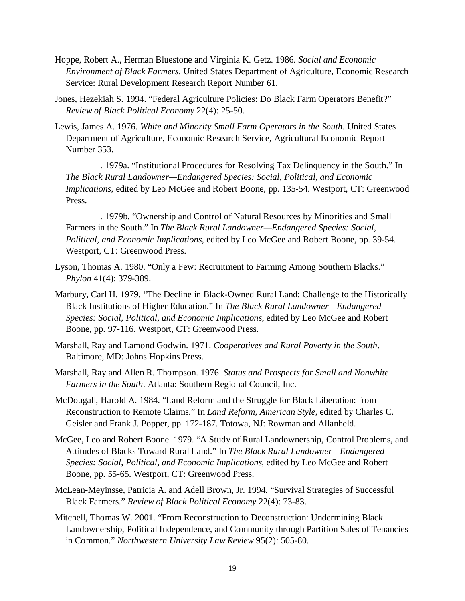- Hoppe, Robert A., Herman Bluestone and Virginia K. Getz. 1986. *Social and Economic Environment of Black Farmers*. United States Department of Agriculture, Economic Research Service: Rural Development Research Report Number 61.
- Jones, Hezekiah S. 1994. "Federal Agriculture Policies: Do Black Farm Operators Benefit?" *Review of Black Political Economy* 22(4): 25-50.
- Lewis, James A. 1976. *White and Minority Small Farm Operators in the South*. United States Department of Agriculture, Economic Research Service, Agricultural Economic Report Number 353.
	- \_\_\_\_\_\_\_\_\_\_. 1979a. "Institutional Procedures for Resolving Tax Delinquency in the South." In *The Black Rural Landowner—Endangered Species: Social, Political, and Economic Implications*, edited by Leo McGee and Robert Boone, pp. 135-54. Westport, CT: Greenwood Press.
	- \_\_\_\_\_\_\_\_\_\_. 1979b. "Ownership and Control of Natural Resources by Minorities and Small Farmers in the South." In *The Black Rural Landowner—Endangered Species: Social, Political, and Economic Implications*, edited by Leo McGee and Robert Boone, pp. 39-54. Westport, CT: Greenwood Press.
- Lyson, Thomas A. 1980. "Only a Few: Recruitment to Farming Among Southern Blacks." *Phylon* 41(4): 379-389.
- Marbury, Carl H. 1979. "The Decline in Black-Owned Rural Land: Challenge to the Historically Black Institutions of Higher Education." In *The Black Rural Landowner—Endangered Species: Social, Political, and Economic Implications*, edited by Leo McGee and Robert Boone, pp. 97-116. Westport, CT: Greenwood Press.
- Marshall, Ray and Lamond Godwin. 1971. *Cooperatives and Rural Poverty in the South*. Baltimore, MD: Johns Hopkins Press.
- Marshall, Ray and Allen R. Thompson. 1976. *Status and Prospects for Small and Nonwhite Farmers in the South*. Atlanta: Southern Regional Council, Inc.
- McDougall, Harold A. 1984. "Land Reform and the Struggle for Black Liberation: from Reconstruction to Remote Claims." In *Land Reform, American Style*, edited by Charles C. Geisler and Frank J. Popper, pp. 172-187. Totowa, NJ: Rowman and Allanheld.
- McGee, Leo and Robert Boone. 1979. "A Study of Rural Landownership, Control Problems, and Attitudes of Blacks Toward Rural Land." In *The Black Rural Landowner—Endangered Species: Social, Political, and Economic Implications,* edited by Leo McGee and Robert Boone, pp. 55-65. Westport, CT: Greenwood Press.
- McLean-Meyinsse, Patricia A. and Adell Brown, Jr. 1994. "Survival Strategies of Successful Black Farmers." *Review of Black Political Economy* 22(4): 73-83.
- Mitchell, Thomas W. 2001. "From Reconstruction to Deconstruction: Undermining Black Landownership, Political Independence, and Community through Partition Sales of Tenancies in Common." *Northwestern University Law Review* 95(2): 505-80.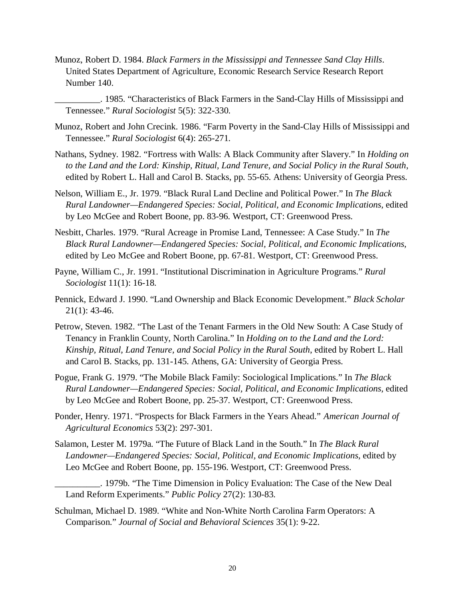Munoz, Robert D. 1984. *Black Farmers in the Mississippi and Tennessee Sand Clay Hills*. United States Department of Agriculture, Economic Research Service Research Report Number 140.

\_\_\_\_\_\_\_\_\_\_. 1985. "Characteristics of Black Farmers in the Sand-Clay Hills of Mississippi and Tennessee." *Rural Sociologist* 5(5): 322-330.

- Munoz, Robert and John Crecink. 1986. "Farm Poverty in the Sand-Clay Hills of Mississippi and Tennessee." *Rural Sociologist* 6(4): 265-271.
- Nathans, Sydney. 1982. "Fortress with Walls: A Black Community after Slavery." In *Holding on to the Land and the Lord: Kinship, Ritual, Land Tenure, and Social Policy in the Rural South*, edited by Robert L. Hall and Carol B. Stacks, pp. 55-65. Athens: University of Georgia Press.
- Nelson, William E., Jr. 1979. "Black Rural Land Decline and Political Power." In *The Black Rural Landowner—Endangered Species: Social, Political, and Economic Implications,* edited by Leo McGee and Robert Boone, pp. 83-96. Westport, CT: Greenwood Press.
- Nesbitt, Charles. 1979. "Rural Acreage in Promise Land, Tennessee: A Case Study." In *The Black Rural Landowner—Endangered Species: Social, Political, and Economic Implications*, edited by Leo McGee and Robert Boone, pp. 67-81. Westport, CT: Greenwood Press.
- Payne, William C., Jr. 1991. "Institutional Discrimination in Agriculture Programs." *Rural Sociologist* 11(1): 16-18.
- Pennick, Edward J. 1990. "Land Ownership and Black Economic Development." *Black Scholar* 21(1): 43-46.
- Petrow, Steven. 1982. "The Last of the Tenant Farmers in the Old New South: A Case Study of Tenancy in Franklin County, North Carolina." In *Holding on to the Land and the Lord: Kinship, Ritual, Land Tenure, and Social Policy in the Rural South*, edited by Robert L. Hall and Carol B. Stacks, pp. 131-145. Athens, GA: University of Georgia Press.
- Pogue, Frank G. 1979. "The Mobile Black Family: Sociological Implications." In *The Black Rural Landowner—Endangered Species: Social, Political, and Economic Implications,* edited by Leo McGee and Robert Boone, pp. 25-37. Westport, CT: Greenwood Press.
- Ponder, Henry. 1971. "Prospects for Black Farmers in the Years Ahead." *American Journal of Agricultural Economics* 53(2): 297-301.
- Salamon, Lester M. 1979a. "The Future of Black Land in the South." In *The Black Rural Landowner—Endangered Species: Social, Political, and Economic Implications*, edited by Leo McGee and Robert Boone, pp. 155-196. Westport, CT: Greenwood Press.
- \_\_\_\_\_\_\_\_\_\_. 1979b. "The Time Dimension in Policy Evaluation: The Case of the New Deal Land Reform Experiments." *Public Policy* 27(2): 130-83.
- Schulman, Michael D. 1989. "White and Non-White North Carolina Farm Operators: A Comparison." *Journal of Social and Behavioral Sciences* 35(1): 9-22.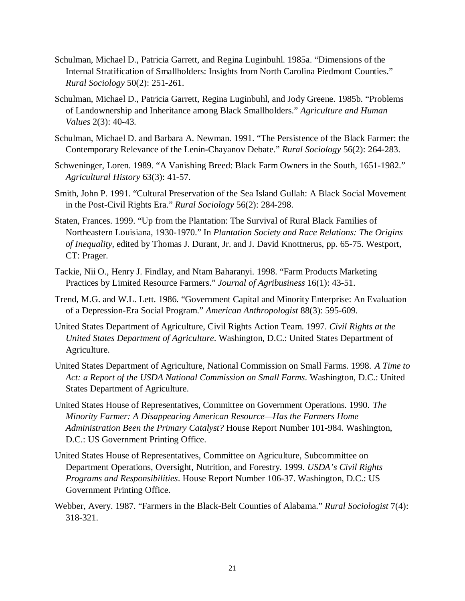- Schulman, Michael D., Patricia Garrett, and Regina Luginbuhl. 1985a. "Dimensions of the Internal Stratification of Smallholders: Insights from North Carolina Piedmont Counties." *Rural Sociology* 50(2): 251-261.
- Schulman, Michael D., Patricia Garrett, Regina Luginbuhl, and Jody Greene. 1985b. "Problems of Landownership and Inheritance among Black Smallholders." *Agriculture and Human Values* 2(3): 40-43.
- Schulman, Michael D. and Barbara A. Newman. 1991. "The Persistence of the Black Farmer: the Contemporary Relevance of the Lenin-Chayanov Debate." *Rural Sociology* 56(2): 264-283.
- Schweninger, Loren. 1989. "A Vanishing Breed: Black Farm Owners in the South, 1651-1982." *Agricultural History* 63(3): 41-57.
- Smith, John P. 1991. "Cultural Preservation of the Sea Island Gullah: A Black Social Movement in the Post-Civil Rights Era." *Rural Sociology* 56(2): 284-298.
- Staten, Frances. 1999. "Up from the Plantation: The Survival of Rural Black Families of Northeastern Louisiana, 1930-1970." In *Plantation Society and Race Relations: The Origins of Inequality*, edited by Thomas J. Durant, Jr. and J. David Knottnerus, pp. 65-75. Westport, CT: Prager.
- Tackie, Nii O., Henry J. Findlay, and Ntam Baharanyi. 1998. "Farm Products Marketing Practices by Limited Resource Farmers." *Journal of Agribusiness* 16(1): 43-51.
- Trend, M.G. and W.L. Lett. 1986. "Government Capital and Minority Enterprise: An Evaluation of a Depression-Era Social Program." *American Anthropologist* 88(3): 595-609.
- United States Department of Agriculture, Civil Rights Action Team. 1997. *Civil Rights at the United States Department of Agriculture*. Washington, D.C.: United States Department of Agriculture.
- United States Department of Agriculture, National Commission on Small Farms. 1998. *A Time to Act: a Report of the USDA National Commission on Small Farms*. Washington, D.C.: United States Department of Agriculture.
- United States House of Representatives, Committee on Government Operations. 1990. *The Minority Farmer: A Disappearing American Resource—Has the Farmers Home Administration Been the Primary Catalyst?* House Report Number 101-984. Washington, D.C.: US Government Printing Office.
- United States House of Representatives, Committee on Agriculture, Subcommittee on Department Operations, Oversight, Nutrition, and Forestry. 1999. *USDA's Civil Rights Programs and Responsibilities*. House Report Number 106-37. Washington, D.C.: US Government Printing Office.
- Webber, Avery. 1987. "Farmers in the Black-Belt Counties of Alabama." *Rural Sociologist* 7(4): 318-321.